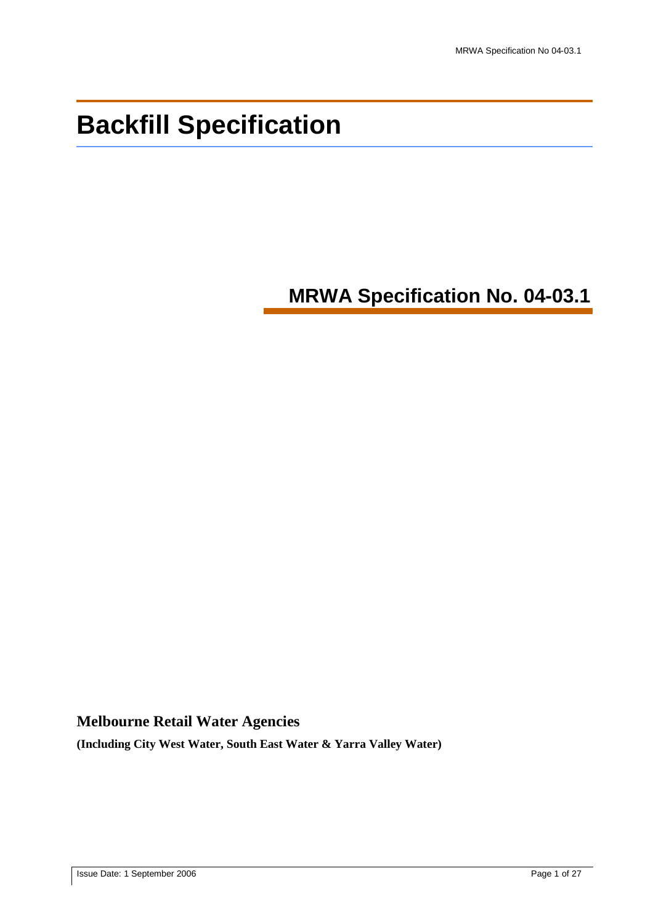# **Backfill Specification**

## **MRWA Specification No. 04-03.1**

## **Melbourne Retail Water Agencies**

**(Including City West Water, South East Water & Yarra Valley Water)**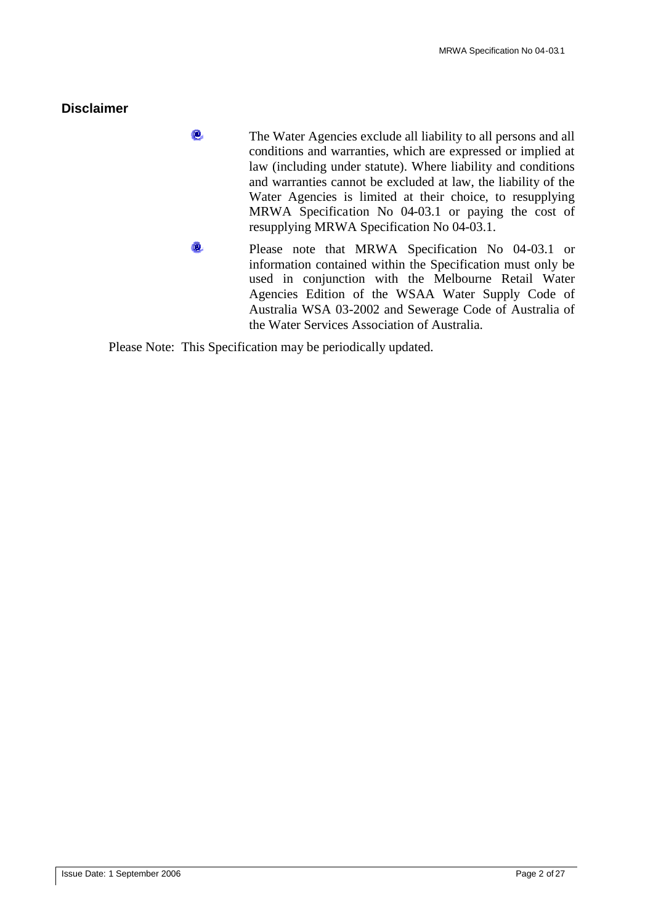## **Disclaimer**

- $\mathbf{e}$ The Water Agencies exclude all liability to all persons and all conditions and warranties, which are expressed or implied at law (including under statute). Where liability and conditions and warranties cannot be excluded at law, the liability of the Water Agencies is limited at their choice, to resupplying MRWA Specification No 04-03.1 or paying the cost of resupplying MRWA Specification No 04-03.1.
- Ō. Please note that MRWA Specification No 04-03.1 or information contained within the Specification must only be used in conjunction with the Melbourne Retail Water Agencies Edition of the WSAA Water Supply Code of Australia WSA 03-2002 and Sewerage Code of Australia of the Water Services Association of Australia.

Please Note: This Specification may be periodically updated.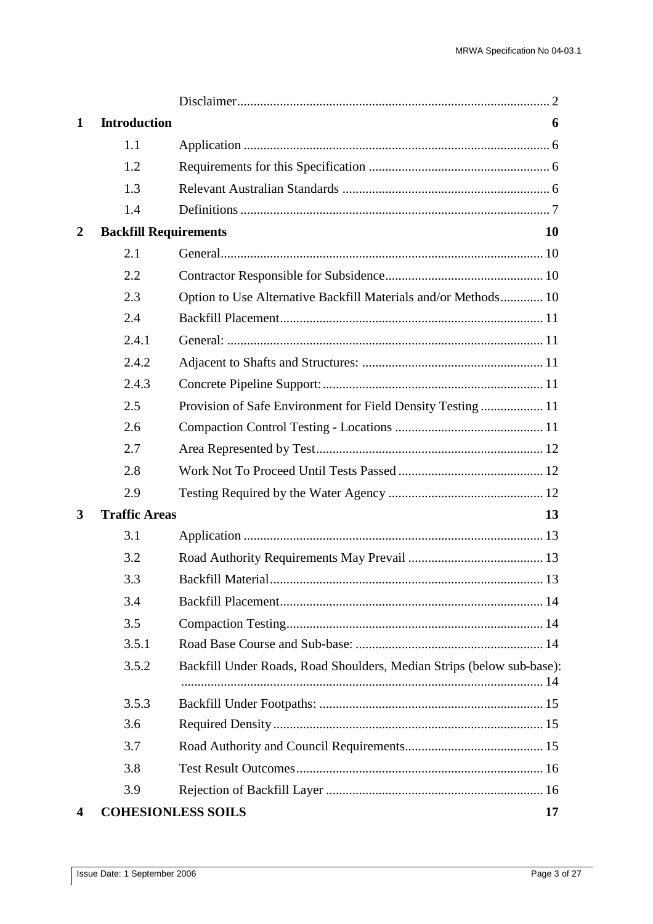| 1              | <b>Introduction</b>          |                                                                       | 6         |
|----------------|------------------------------|-----------------------------------------------------------------------|-----------|
|                | 1.1                          |                                                                       |           |
|                | 1.2                          |                                                                       |           |
|                | 1.3                          |                                                                       |           |
|                | 1.4                          |                                                                       |           |
| $\overline{2}$ | <b>Backfill Requirements</b> |                                                                       | <b>10</b> |
|                | 2.1                          |                                                                       |           |
|                | 2.2                          |                                                                       |           |
|                | 2.3                          | Option to Use Alternative Backfill Materials and/or Methods 10        |           |
|                | 2.4                          |                                                                       |           |
|                | 2.4.1                        |                                                                       |           |
|                | 2.4.2                        |                                                                       |           |
|                | 2.4.3                        |                                                                       |           |
|                | 2.5                          | Provision of Safe Environment for Field Density Testing  11           |           |
|                | 2.6                          |                                                                       |           |
|                | 2.7                          |                                                                       |           |
|                | 2.8                          |                                                                       |           |
|                | 2.9                          |                                                                       |           |
| 3              | <b>Traffic Areas</b>         |                                                                       | 13        |
|                | 3.1                          |                                                                       |           |
|                | 3.2                          |                                                                       |           |
|                | 3.3                          |                                                                       |           |
|                | 3.4                          |                                                                       |           |
|                | 3.5                          |                                                                       |           |
|                | 3.5.1                        |                                                                       |           |
|                | 3.5.2                        | Backfill Under Roads, Road Shoulders, Median Strips (below sub-base): |           |
|                | 3.5.3                        |                                                                       |           |
|                | 3.6                          |                                                                       |           |
|                | 3.7                          |                                                                       |           |
|                | 3.8                          |                                                                       |           |
|                | 3.9                          |                                                                       |           |
|                |                              | <b>COHESIONLESS SOILS</b>                                             | 17        |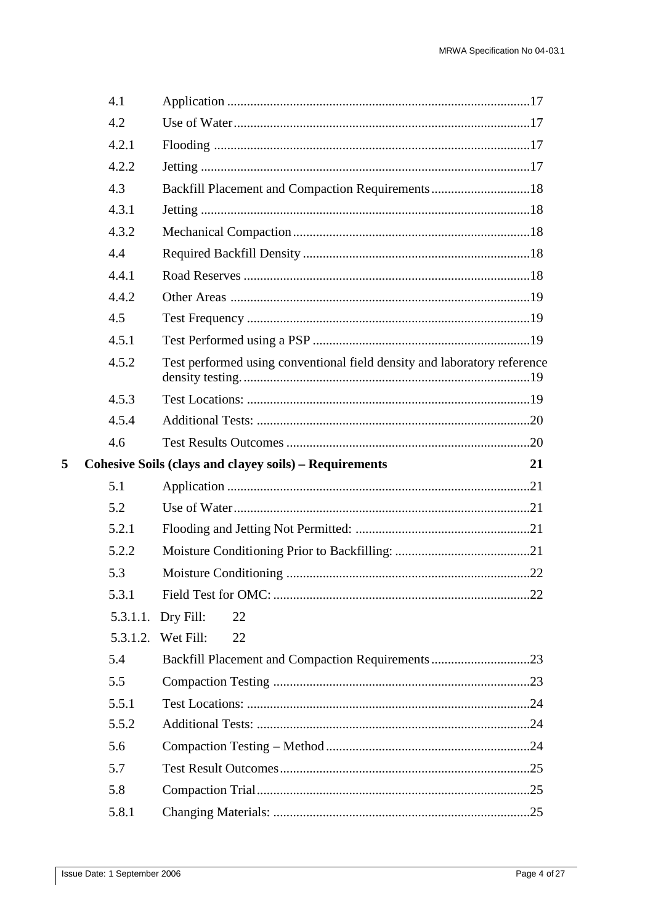| 4.1      |                                                                          |    |
|----------|--------------------------------------------------------------------------|----|
| 4.2      |                                                                          |    |
| 4.2.1    |                                                                          |    |
| 4.2.2    |                                                                          |    |
| 4.3      | Backfill Placement and Compaction Requirements18                         |    |
| 4.3.1    |                                                                          |    |
| 4.3.2    |                                                                          |    |
| 4.4      |                                                                          |    |
| 4.4.1    |                                                                          |    |
| 4.4.2    |                                                                          |    |
| 4.5      |                                                                          |    |
| 4.5.1    |                                                                          |    |
| 4.5.2    | Test performed using conventional field density and laboratory reference |    |
| 4.5.3    |                                                                          |    |
| 4.5.4    |                                                                          |    |
| 4.6      |                                                                          |    |
|          | <b>Cohesive Soils (clays and clayey soils) - Requirements</b>            | 21 |
| 5.1      |                                                                          |    |
| 5.2      |                                                                          |    |
| 5.2.1    |                                                                          |    |
| 5.2.2    |                                                                          |    |
| 5.3      |                                                                          |    |
| 5.3.1    |                                                                          |    |
| 5.3.1.1. | Dry Fill:<br>22                                                          |    |
|          | 5.3.1.2. Wet Fill:<br>22                                                 |    |
| 5.4      | Backfill Placement and Compaction Requirements23                         |    |
| 5.5      |                                                                          |    |
| 5.5.1    |                                                                          |    |
| 5.5.2    |                                                                          |    |
| 5.6      |                                                                          |    |
| 5.7      |                                                                          |    |
|          |                                                                          |    |
| 5.8      |                                                                          |    |

 $\overline{\mathbf{5}}$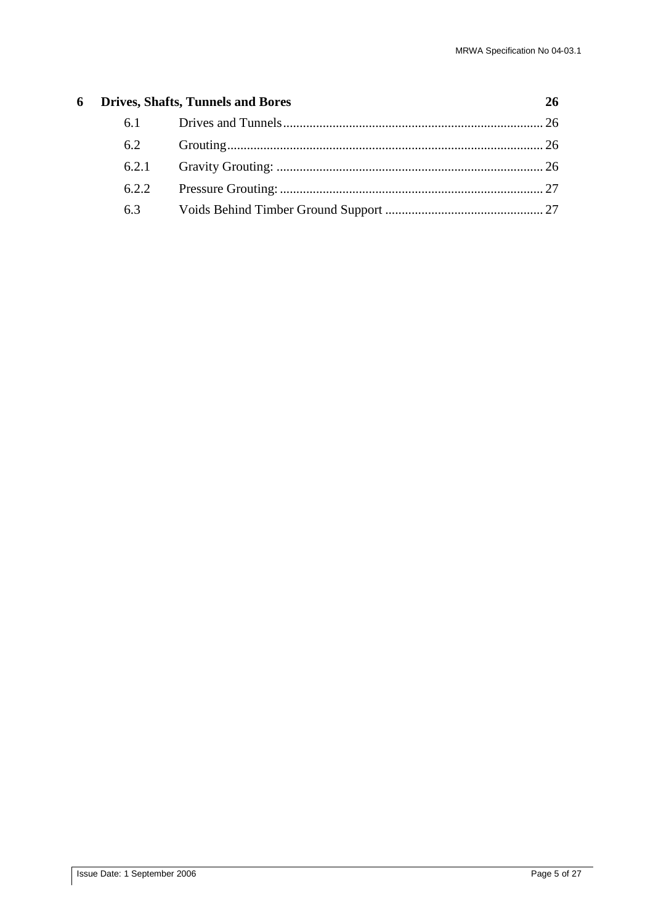|     | <b>6</b> Drives, Shafts, Tunnels and Bores | 26 |
|-----|--------------------------------------------|----|
| 6.1 |                                            |    |
| 6.2 |                                            |    |
|     |                                            |    |
|     |                                            |    |
| 6.3 |                                            |    |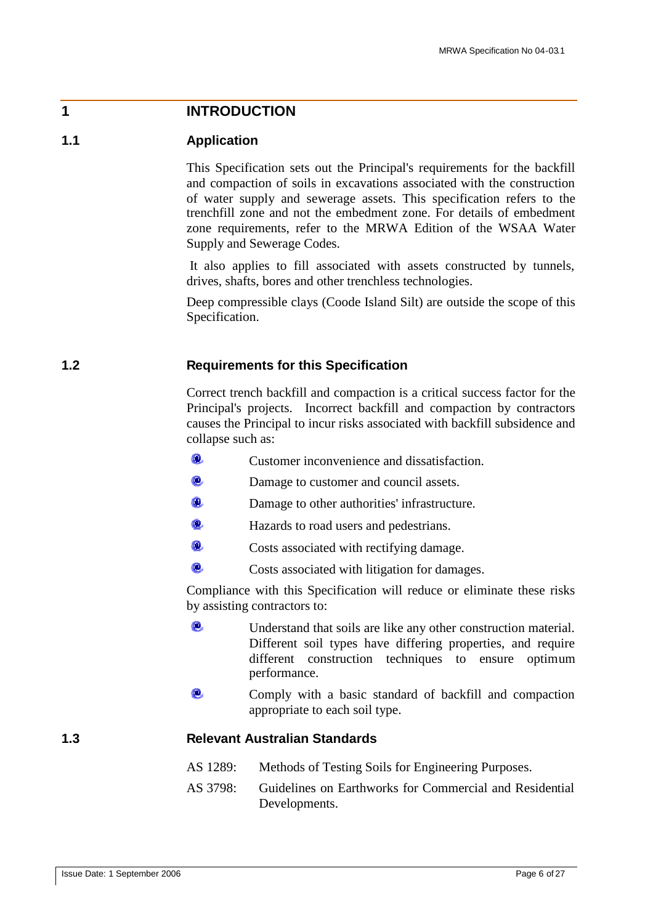## **1 INTRODUCTION**

## **1.1 Application**

This Specification sets out the Principal's requirements for the backfill and compaction of soils in excavations associated with the construction of water supply and sewerage assets. This specification refers to the trenchfill zone and not the embedment zone. For details of embedment zone requirements, refer to the MRWA Edition of the WSAA Water Supply and Sewerage Codes.

It also applies to fill associated with assets constructed by tunnels, drives, shafts, bores and other trenchless technologies.

Deep compressible clays (Coode Island Silt) are outside the scope of this Specification.

### **1.2 Requirements for this Specification**

Correct trench backfill and compaction is a critical success factor for the Principal's projects. Incorrect backfill and compaction by contractors causes the Principal to incur risks associated with backfill subsidence and collapse such as:

- O. Customer inconvenience and dissatisfaction.
- τō. Damage to customer and council assets.
- Ю. Damage to other authorities' infrastructure.
- Ō. Hazards to road users and pedestrians.
- ø. Costs associated with rectifying damage.
- Ô. Costs associated with litigation for damages.

Compliance with this Specification will reduce or eliminate these risks by assisting contractors to:

- $\omega$ Understand that soils are like any other construction material. Different soil types have differing properties, and require different construction techniques to ensure optimum performance.
- Comply with a basic standard of backfill and compaction appropriate to each soil type.

## **1.3 Relevant Australian Standards**

- AS 1289: Methods of Testing Soils for Engineering Purposes.
- AS 3798: Guidelines on Earthworks for Commercial and Residential Developments.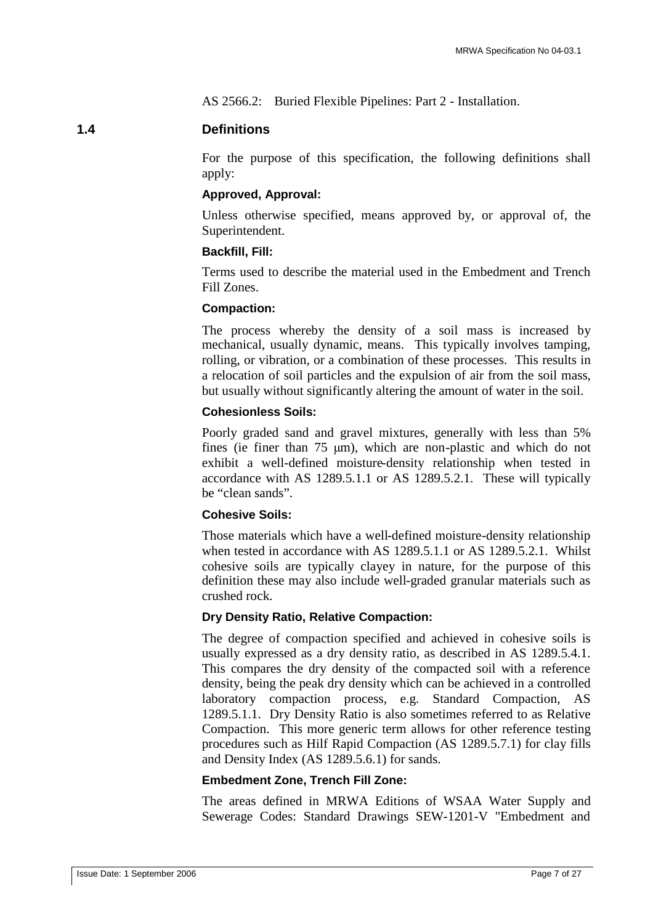AS 2566.2: Buried Flexible Pipelines: Part 2 - Installation.

## **1.4 Definitions**

For the purpose of this specification, the following definitions shall apply:

#### **Approved, Approval:**

Unless otherwise specified, means approved by, or approval of, the Superintendent.

## **Backfill, Fill:**

Terms used to describe the material used in the Embedment and Trench Fill Zones.

#### **Compaction:**

The process whereby the density of a soil mass is increased by mechanical, usually dynamic, means. This typically involves tamping, rolling, or vibration, or a combination of these processes. This results in a relocation of soil particles and the expulsion of air from the soil mass, but usually without significantly altering the amount of water in the soil.

## **Cohesionless Soils:**

Poorly graded sand and gravel mixtures, generally with less than 5% fines (ie finer than 75 μm), which are non-plastic and which do not exhibit a well-defined moisture-density relationship when tested in accordance with AS 1289.5.1.1 or AS 1289.5.2.1. These will typically be "clean sands".

## **Cohesive Soils:**

Those materials which have a well-defined moisture-density relationship when tested in accordance with AS 1289.5.1.1 or AS 1289.5.2.1. Whilst cohesive soils are typically clayey in nature, for the purpose of this definition these may also include well-graded granular materials such as crushed rock.

#### **Dry Density Ratio, Relative Compaction:**

The degree of compaction specified and achieved in cohesive soils is usually expressed as a dry density ratio, as described in AS 1289.5.4.1. This compares the dry density of the compacted soil with a reference density, being the peak dry density which can be achieved in a controlled laboratory compaction process, e.g. Standard Compaction, AS 1289.5.1.1. Dry Density Ratio is also sometimes referred to as Relative Compaction. This more generic term allows for other reference testing procedures such as Hilf Rapid Compaction (AS 1289.5.7.1) for clay fills and Density Index (AS 1289.5.6.1) for sands.

#### **Embedment Zone, Trench Fill Zone:**

The areas defined in MRWA Editions of WSAA Water Supply and Sewerage Codes: Standard Drawings SEW-1201-V "Embedment and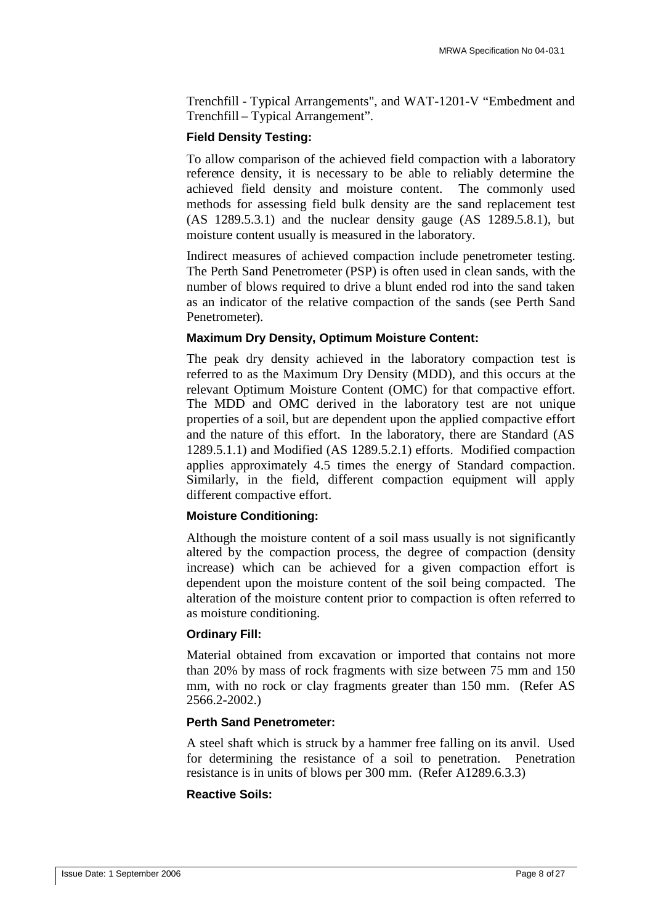Trenchfill - Typical Arrangements", and WAT-1201-V "Embedment and Trenchfill – Typical Arrangement".

## **Field Density Testing:**

To allow comparison of the achieved field compaction with a laboratory reference density, it is necessary to be able to reliably determine the achieved field density and moisture content. The commonly used methods for assessing field bulk density are the sand replacement test (AS 1289.5.3.1) and the nuclear density gauge (AS 1289.5.8.1), but moisture content usually is measured in the laboratory.

Indirect measures of achieved compaction include penetrometer testing. The Perth Sand Penetrometer (PSP) is often used in clean sands, with the number of blows required to drive a blunt ended rod into the sand taken as an indicator of the relative compaction of the sands (see Perth Sand Penetrometer).

## **Maximum Dry Density, Optimum Moisture Content:**

The peak dry density achieved in the laboratory compaction test is referred to as the Maximum Dry Density (MDD), and this occurs at the relevant Optimum Moisture Content (OMC) for that compactive effort. The MDD and OMC derived in the laboratory test are not unique properties of a soil, but are dependent upon the applied compactive effort and the nature of this effort. In the laboratory, there are Standard (AS 1289.5.1.1) and Modified (AS 1289.5.2.1) efforts. Modified compaction applies approximately 4.5 times the energy of Standard compaction. Similarly, in the field, different compaction equipment will apply different compactive effort.

#### **Moisture Conditioning:**

Although the moisture content of a soil mass usually is not significantly altered by the compaction process, the degree of compaction (density increase) which can be achieved for a given compaction effort is dependent upon the moisture content of the soil being compacted. The alteration of the moisture content prior to compaction is often referred to as moisture conditioning.

#### **Ordinary Fill:**

Material obtained from excavation or imported that contains not more than 20% by mass of rock fragments with size between 75 mm and 150 mm, with no rock or clay fragments greater than 150 mm. (Refer AS 2566.2-2002.)

#### **Perth Sand Penetrometer:**

A steel shaft which is struck by a hammer free falling on its anvil. Used for determining the resistance of a soil to penetration. Penetration resistance is in units of blows per 300 mm. (Refer A1289.6.3.3)

#### **Reactive Soils:**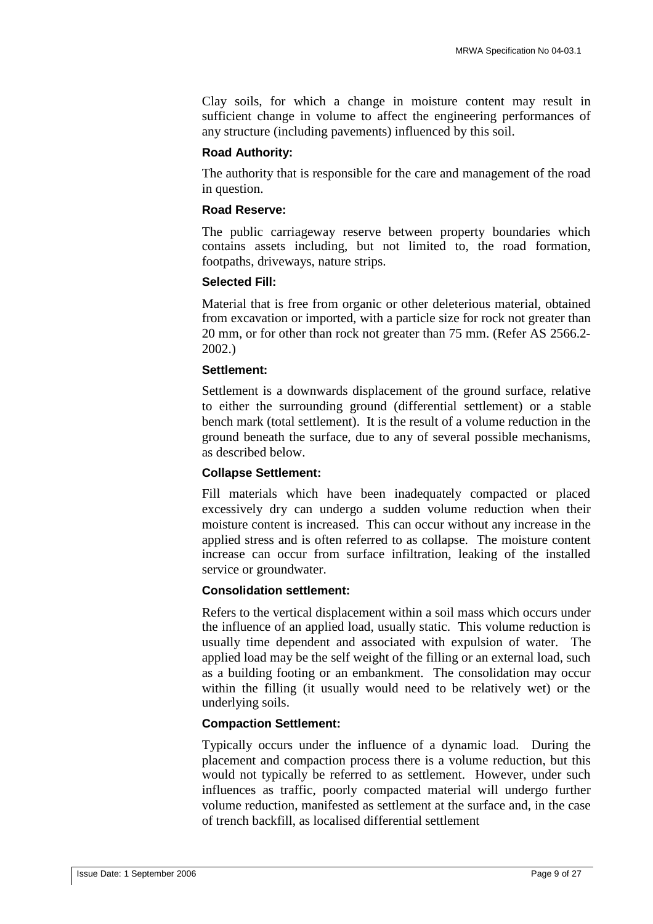Clay soils, for which a change in moisture content may result in sufficient change in volume to affect the engineering performances of any structure (including pavements) influenced by this soil.

#### **Road Authority:**

The authority that is responsible for the care and management of the road in question.

#### **Road Reserve:**

The public carriageway reserve between property boundaries which contains assets including, but not limited to, the road formation, footpaths, driveways, nature strips.

## **Selected Fill:**

Material that is free from organic or other deleterious material, obtained from excavation or imported, with a particle size for rock not greater than 20 mm, or for other than rock not greater than 75 mm. (Refer AS 2566.2- 2002.)

#### **Settlement:**

Settlement is a downwards displacement of the ground surface, relative to either the surrounding ground (differential settlement) or a stable bench mark (total settlement). It is the result of a volume reduction in the ground beneath the surface, due to any of several possible mechanisms, as described below.

#### **Collapse Settlement:**

Fill materials which have been inadequately compacted or placed excessively dry can undergo a sudden volume reduction when their moisture content is increased. This can occur without any increase in the applied stress and is often referred to as collapse. The moisture content increase can occur from surface infiltration, leaking of the installed service or groundwater.

#### **Consolidation settlement:**

Refers to the vertical displacement within a soil mass which occurs under the influence of an applied load, usually static. This volume reduction is usually time dependent and associated with expulsion of water. The applied load may be the self weight of the filling or an external load, such as a building footing or an embankment. The consolidation may occur within the filling (it usually would need to be relatively wet) or the underlying soils.

#### **Compaction Settlement:**

Typically occurs under the influence of a dynamic load. During the placement and compaction process there is a volume reduction, but this would not typically be referred to as settlement. However, under such influences as traffic, poorly compacted material will undergo further volume reduction, manifested as settlement at the surface and, in the case of trench backfill, as localised differential settlement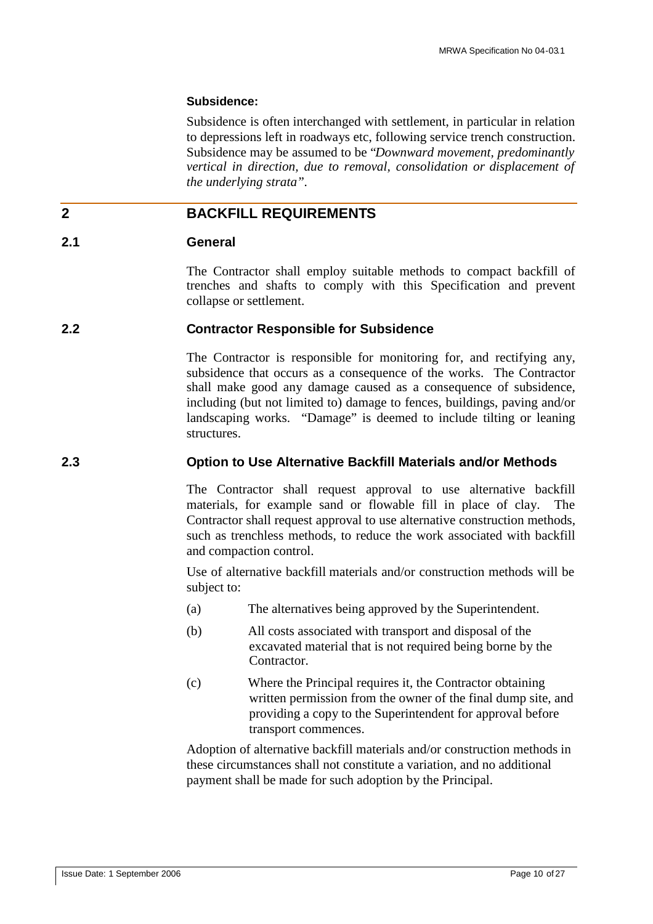#### **Subsidence:**

Subsidence is often interchanged with settlement, in particular in relation to depressions left in roadways etc, following service trench construction. Subsidence may be assumed to be "*Downward movement, predominantly vertical in direction, due to removal, consolidation or displacement of the underlying strata".*

## **2 BACKFILL REQUIREMENTS**

#### **2.1 General**

The Contractor shall employ suitable methods to compact backfill of trenches and shafts to comply with this Specification and prevent collapse or settlement.

#### **2.2 Contractor Responsible for Subsidence**

The Contractor is responsible for monitoring for, and rectifying any, subsidence that occurs as a consequence of the works. The Contractor shall make good any damage caused as a consequence of subsidence, including (but not limited to) damage to fences, buildings, paving and/or landscaping works. "Damage" is deemed to include tilting or leaning structures.

## **2.3 Option to Use Alternative Backfill Materials and/or Methods**

The Contractor shall request approval to use alternative backfill materials, for example sand or flowable fill in place of clay. The Contractor shall request approval to use alternative construction methods, such as trenchless methods, to reduce the work associated with backfill and compaction control.

Use of alternative backfill materials and/or construction methods will be subject to:

- (a) The alternatives being approved by the Superintendent.
- (b) All costs associated with transport and disposal of the excavated material that is not required being borne by the Contractor.
- (c) Where the Principal requires it, the Contractor obtaining written permission from the owner of the final dump site, and providing a copy to the Superintendent for approval before transport commences.

Adoption of alternative backfill materials and/or construction methods in these circumstances shall not constitute a variation, and no additional payment shall be made for such adoption by the Principal.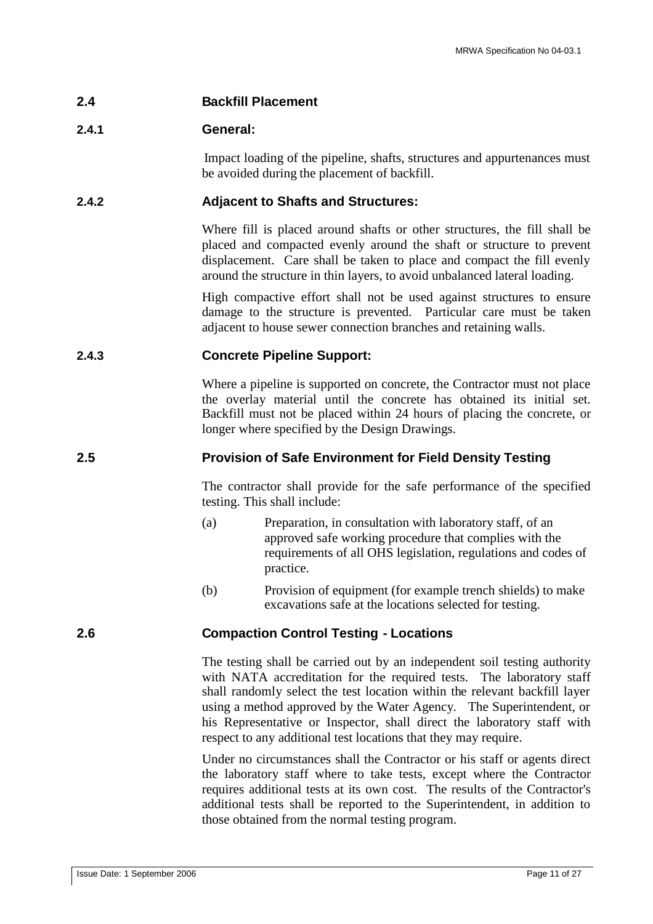## **2.4 Backfill Placement**

## **2.4.1 General:**

Impact loading of the pipeline, shafts, structures and appurtenances must be avoided during the placement of backfill.

## **2.4.2 Adjacent to Shafts and Structures:**

Where fill is placed around shafts or other structures, the fill shall be placed and compacted evenly around the shaft or structure to prevent displacement. Care shall be taken to place and compact the fill evenly around the structure in thin layers, to avoid unbalanced lateral loading.

High compactive effort shall not be used against structures to ensure damage to the structure is prevented. Particular care must be taken adjacent to house sewer connection branches and retaining walls.

## **2.4.3 Concrete Pipeline Support:**

Where a pipeline is supported on concrete, the Contractor must not place the overlay material until the concrete has obtained its initial set. Backfill must not be placed within 24 hours of placing the concrete, or longer where specified by the Design Drawings.

## **2.5 Provision of Safe Environment for Field Density Testing**

The contractor shall provide for the safe performance of the specified testing. This shall include:

- (a) Preparation, in consultation with laboratory staff, of an approved safe working procedure that complies with the requirements of all OHS legislation, regulations and codes of practice.
- (b) Provision of equipment (for example trench shields) to make excavations safe at the locations selected for testing.

## **2.6 Compaction Control Testing - Locations**

The testing shall be carried out by an independent soil testing authority with NATA accreditation for the required tests. The laboratory staff shall randomly select the test location within the relevant backfill layer using a method approved by the Water Agency. The Superintendent, or his Representative or Inspector, shall direct the laboratory staff with respect to any additional test locations that they may require.

Under no circumstances shall the Contractor or his staff or agents direct the laboratory staff where to take tests, except where the Contractor requires additional tests at its own cost. The results of the Contractor's additional tests shall be reported to the Superintendent, in addition to those obtained from the normal testing program.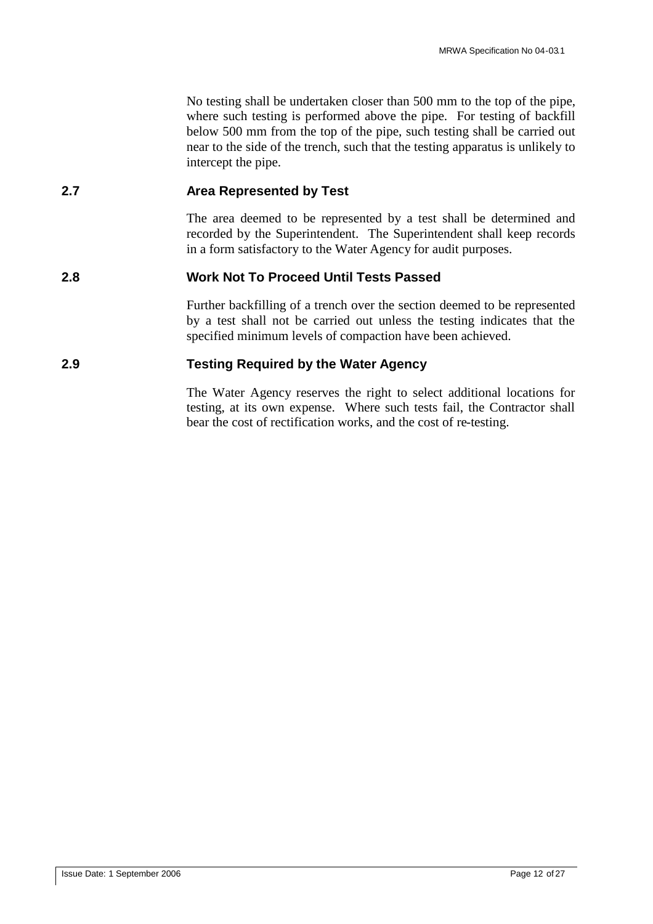No testing shall be undertaken closer than 500 mm to the top of the pipe, where such testing is performed above the pipe. For testing of backfill below 500 mm from the top of the pipe, such testing shall be carried out near to the side of the trench, such that the testing apparatus is unlikely to intercept the pipe.

## **2.7 Area Represented by Test**

The area deemed to be represented by a test shall be determined and recorded by the Superintendent. The Superintendent shall keep records in a form satisfactory to the Water Agency for audit purposes.

## **2.8 Work Not To Proceed Until Tests Passed**

Further backfilling of a trench over the section deemed to be represented by a test shall not be carried out unless the testing indicates that the specified minimum levels of compaction have been achieved.

## **2.9 Testing Required by the Water Agency**

The Water Agency reserves the right to select additional locations for testing, at its own expense. Where such tests fail, the Contractor shall bear the cost of rectification works, and the cost of re-testing.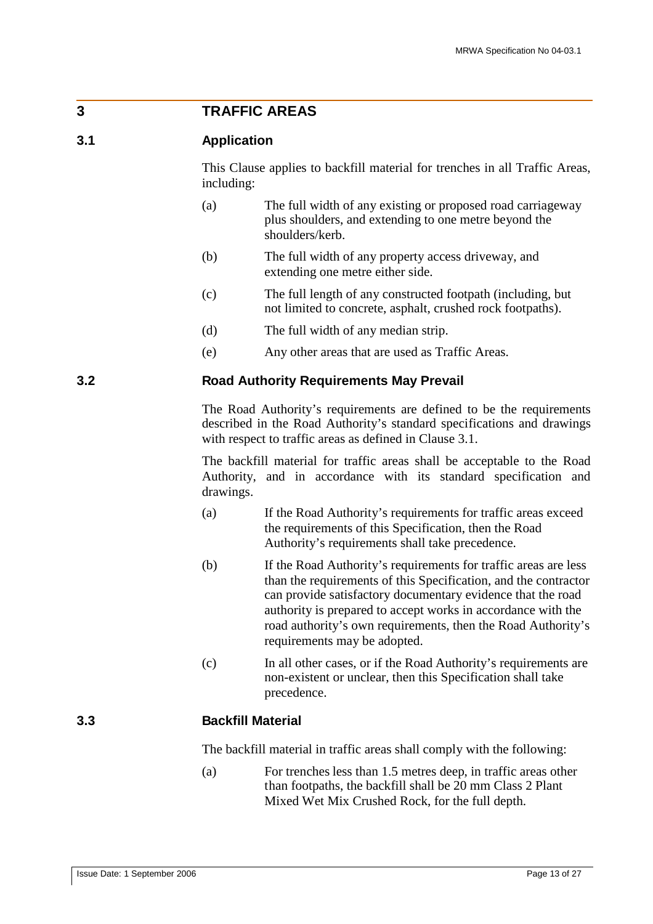## **3 TRAFFIC AREAS**

#### **3.1 Application**

This Clause applies to backfill material for trenches in all Traffic Areas, including:

- (a) The full width of any existing or proposed road carriageway plus shoulders, and extending to one metre beyond the shoulders/kerb.
- (b) The full width of any property access driveway, and extending one metre either side.
- (c) The full length of any constructed footpath (including, but not limited to concrete, asphalt, crushed rock footpaths).
- (d) The full width of any median strip.
- (e) Any other areas that are used as Traffic Areas.

## **3.2 Road Authority Requirements May Prevail**

The Road Authority's requirements are defined to be the requirements described in the Road Authority's standard specifications and drawings with respect to traffic areas as defined in Clause 3.1.

The backfill material for traffic areas shall be acceptable to the Road Authority, and in accordance with its standard specification and drawings.

- (a) If the Road Authority's requirements for traffic areas exceed the requirements of this Specification, then the Road Authority's requirements shall take precedence.
- (b) If the Road Authority's requirements for traffic areas are less than the requirements of this Specification, and the contractor can provide satisfactory documentary evidence that the road authority is prepared to accept works in accordance with the road authority's own requirements, then the Road Authority's requirements may be adopted.
- (c) In all other cases, or if the Road Authority's requirements are non-existent or unclear, then this Specification shall take precedence.

## **3.3 Backfill Material**

The backfill material in traffic areas shall comply with the following:

(a) For trenches less than 1.5 metres deep, in traffic areas other than footpaths, the backfill shall be 20 mm Class 2 Plant Mixed Wet Mix Crushed Rock, for the full depth.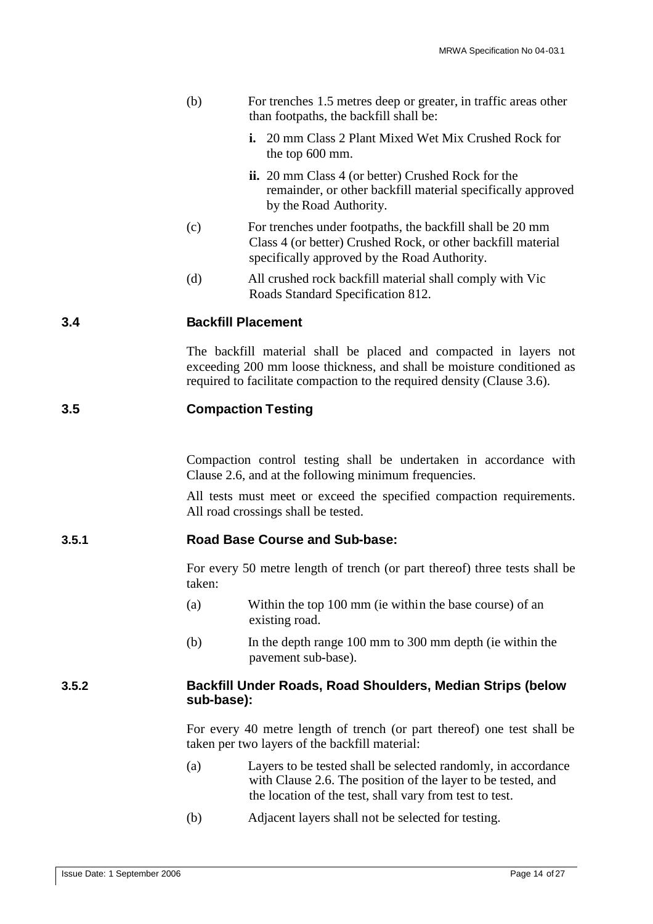|       | (b)                                                                                                                       | For trenches 1.5 metres deep or greater, in traffic areas other<br>than footpaths, the backfill shall be:                                                                                                              |  |  |
|-------|---------------------------------------------------------------------------------------------------------------------------|------------------------------------------------------------------------------------------------------------------------------------------------------------------------------------------------------------------------|--|--|
|       |                                                                                                                           | <b>i.</b> 20 mm Class 2 Plant Mixed Wet Mix Crushed Rock for<br>the top 600 mm.                                                                                                                                        |  |  |
|       |                                                                                                                           | ii. 20 mm Class 4 (or better) Crushed Rock for the<br>remainder, or other backfill material specifically approved<br>by the Road Authority.                                                                            |  |  |
|       | (c)                                                                                                                       | For trenches under footpaths, the backfill shall be 20 mm<br>Class 4 (or better) Crushed Rock, or other backfill material<br>specifically approved by the Road Authority.                                              |  |  |
|       | (d)                                                                                                                       | All crushed rock backfill material shall comply with Vic<br>Roads Standard Specification 812.                                                                                                                          |  |  |
| 3.4   |                                                                                                                           | <b>Backfill Placement</b>                                                                                                                                                                                              |  |  |
|       |                                                                                                                           | The backfill material shall be placed and compacted in layers not<br>exceeding 200 mm loose thickness, and shall be moisture conditioned as<br>required to facilitate compaction to the required density (Clause 3.6). |  |  |
| 3.5   |                                                                                                                           | <b>Compaction Testing</b>                                                                                                                                                                                              |  |  |
|       |                                                                                                                           | Compaction control testing shall be undertaken in accordance with<br>Clause 2.6, and at the following minimum frequencies.                                                                                             |  |  |
|       |                                                                                                                           | All tests must meet or exceed the specified compaction requirements.<br>All road crossings shall be tested.                                                                                                            |  |  |
| 3.5.1 |                                                                                                                           | <b>Road Base Course and Sub-base:</b>                                                                                                                                                                                  |  |  |
|       | taken:                                                                                                                    | For every 50 metre length of trench (or part thereof) three tests shall be                                                                                                                                             |  |  |
|       | (a)                                                                                                                       | Within the top 100 mm (ie within the base course) of an<br>existing road.                                                                                                                                              |  |  |
|       | (b)                                                                                                                       | In the depth range 100 mm to 300 mm depth (ie within the<br>pavement sub-base).                                                                                                                                        |  |  |
| 3.5.2 | Backfill Under Roads, Road Shoulders, Median Strips (below<br>sub-base):                                                  |                                                                                                                                                                                                                        |  |  |
|       | For every 40 metre length of trench (or part thereof) one test shall be<br>taken per two layers of the backfill material: |                                                                                                                                                                                                                        |  |  |
|       | (a)                                                                                                                       | Layers to be tested shall be selected randomly, in accordance<br>with Clause 2.6. The position of the layer to be tested, and<br>the location of the test, shall vary from test to test.                               |  |  |
|       | (b)                                                                                                                       | Adjacent layers shall not be selected for testing.                                                                                                                                                                     |  |  |
|       |                                                                                                                           |                                                                                                                                                                                                                        |  |  |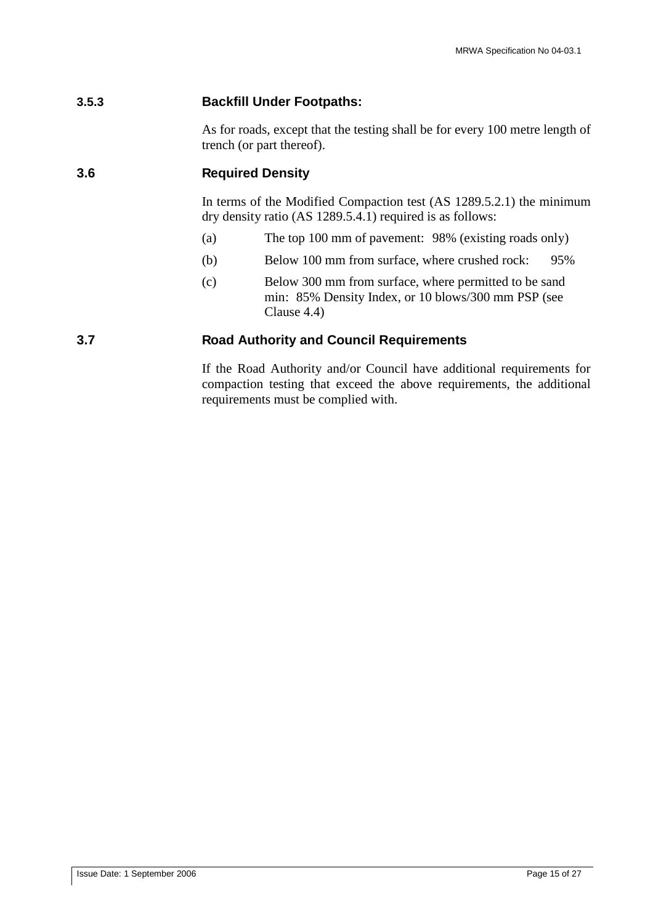## **3.5.3 Backfill Under Footpaths:**

As for roads, except that the testing shall be for every 100 metre length of trench (or part thereof).

## **3.6 Required Density**

In terms of the Modified Compaction test (AS 1289.5.2.1) the minimum dry density ratio (AS 1289.5.4.1) required is as follows:

- (a) The top 100 mm of pavement: 98% (existing roads only)
- (b) Below 100 mm from surface, where crushed rock: 95%
- (c) Below 300 mm from surface, where permitted to be sand min: 85% Density Index, or 10 blows/300 mm PSP (see Clause 4.4)

## **3.7 Road Authority and Council Requirements**

If the Road Authority and/or Council have additional requirements for compaction testing that exceed the above requirements, the additional requirements must be complied with.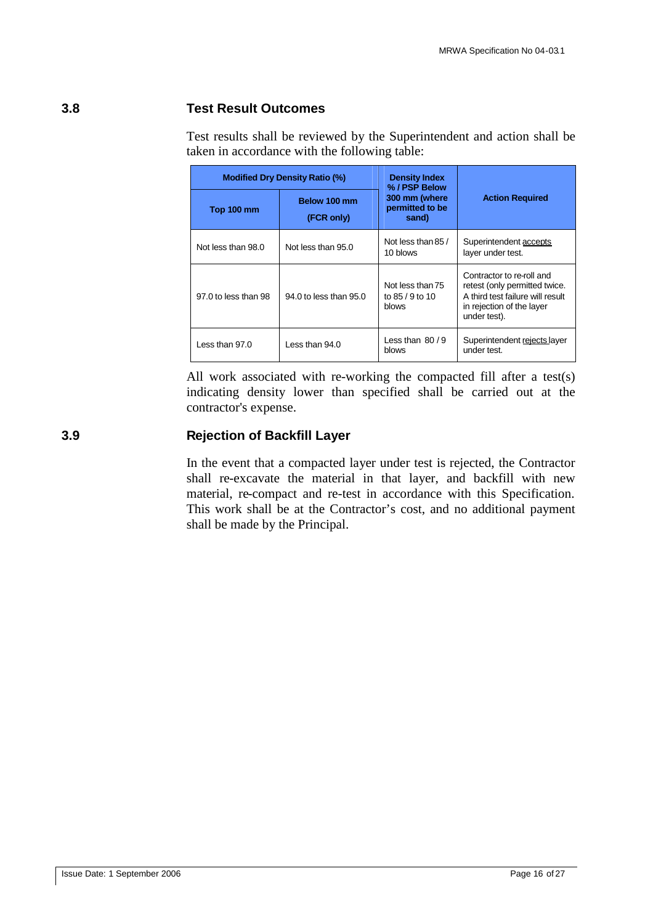## **3.8 Test Result Outcomes**

Test results shall be reviewed by the Superintendent and action shall be taken in accordance with the following table:

|                                                 | <b>Modified Dry Density Ratio (%)</b> | <b>Density Index</b><br>% / PSP Below        |                                                                                                                                             |  |
|-------------------------------------------------|---------------------------------------|----------------------------------------------|---------------------------------------------------------------------------------------------------------------------------------------------|--|
| Below 100 mm<br><b>Top 100 mm</b><br>(FCR only) |                                       | 300 mm (where<br>permitted to be<br>sand)    | <b>Action Required</b>                                                                                                                      |  |
| Not less than 98.0                              | Not less than 95.0                    | Not less than 85 /<br>10 blows               | Superintendent accepts<br>layer under test.                                                                                                 |  |
| 97.0 to less than 98                            | 94.0 to less than 95.0                | Not less than 75<br>to 85 / 9 to 10<br>blows | Contractor to re-roll and<br>retest (only permitted twice.<br>A third test failure will result<br>in rejection of the layer<br>under test). |  |
| Less than 97.0                                  | $l$ ess than 94.0                     | Less than $80/9$<br>blows                    | Superintendent rejects layer<br>under test.                                                                                                 |  |

All work associated with re-working the compacted fill after a test(s) indicating density lower than specified shall be carried out at the contractor's expense.

## **3.9 Rejection of Backfill Layer**

In the event that a compacted layer under test is rejected, the Contractor shall re-excavate the material in that layer, and backfill with new material, re-compact and re-test in accordance with this Specification. This work shall be at the Contractor's cost, and no additional payment shall be made by the Principal.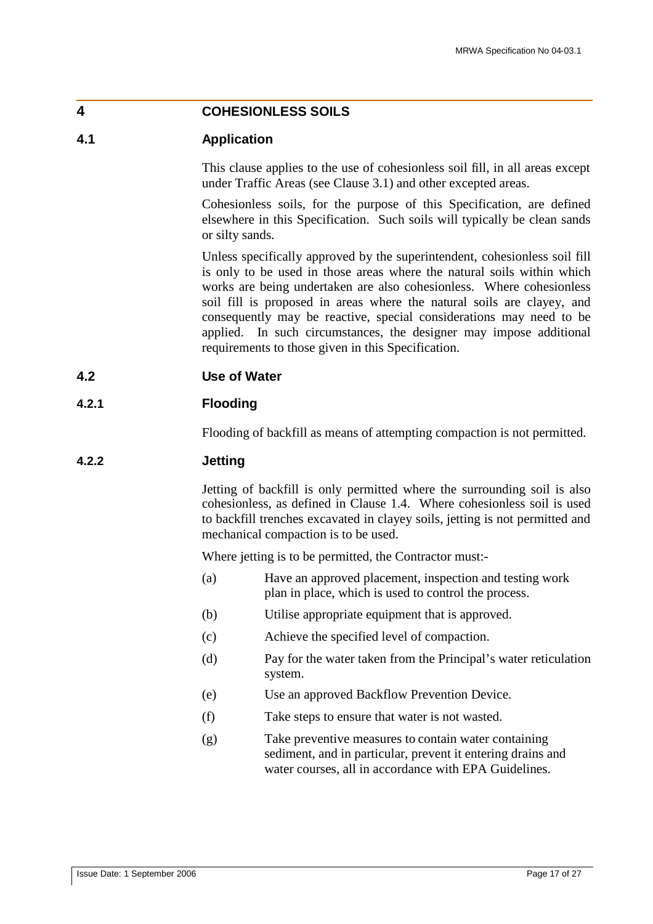## **4 COHESIONLESS SOILS**

## **4.1 Application**

This clause applies to the use of cohesionless soil fill, in all areas except under Traffic Areas (see Clause 3.1) and other excepted areas.

Cohesionless soils, for the purpose of this Specification, are defined elsewhere in this Specification. Such soils will typically be clean sands or silty sands.

Unless specifically approved by the superintendent, cohesionless soil fill is only to be used in those areas where the natural soils within which works are being undertaken are also cohesionless. Where cohesionless soil fill is proposed in areas where the natural soils are clayey, and consequently may be reactive, special considerations may need to be applied. In such circumstances, the designer may impose additional requirements to those given in this Specification.

#### **4.2 Use of Water**

#### **4.2.1 Flooding**

Flooding of backfill as means of attempting compaction is not permitted.

#### **4.2.2 Jetting**

Jetting of backfill is only permitted where the surrounding soil is also cohesionless, as defined in Clause 1.4. Where cohesionless soil is used to backfill trenches excavated in clayey soils, jetting is not permitted and mechanical compaction is to be used.

Where jetting is to be permitted, the Contractor must:-

- (a) Have an approved placement, inspection and testing work plan in place, which is used to control the process.
- (b) Utilise appropriate equipment that is approved.
- (c) Achieve the specified level of compaction.
- (d) Pay for the water taken from the Principal's water reticulation system.
- (e) Use an approved Backflow Prevention Device.
- (f) Take steps to ensure that water is not wasted.
- (g) Take preventive measures to contain water containing sediment, and in particular, prevent it entering drains and water courses, all in accordance with EPA Guidelines.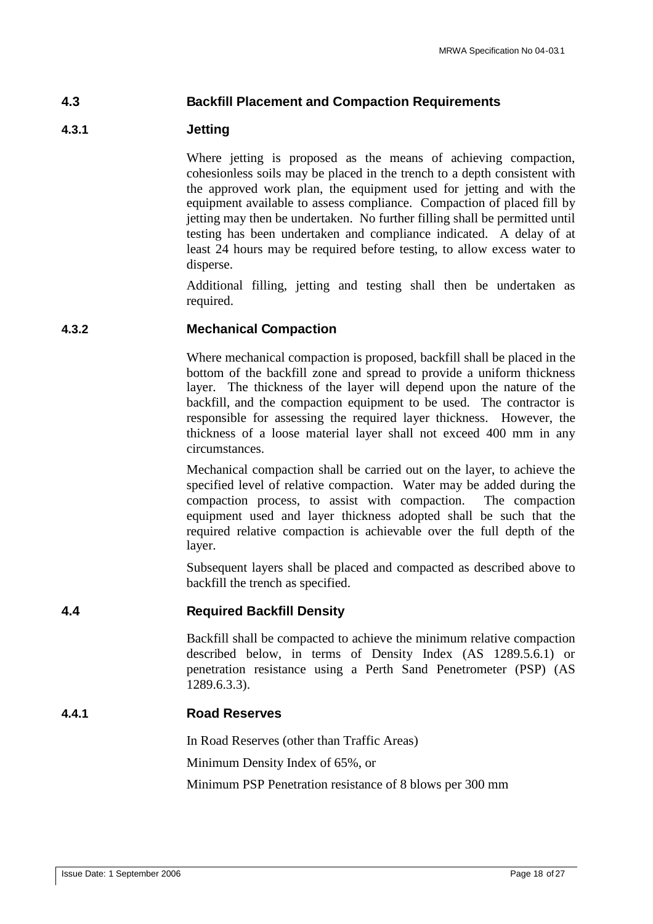## **4.3 Backfill Placement and Compaction Requirements**

## **4.3.1 Jetting**

Where jetting is proposed as the means of achieving compaction, cohesionless soils may be placed in the trench to a depth consistent with the approved work plan, the equipment used for jetting and with the equipment available to assess compliance. Compaction of placed fill by jetting may then be undertaken. No further filling shall be permitted until testing has been undertaken and compliance indicated. A delay of at least 24 hours may be required before testing, to allow excess water to disperse.

Additional filling, jetting and testing shall then be undertaken as required.

#### **4.3.2 Mechanical Compaction**

Where mechanical compaction is proposed, backfill shall be placed in the bottom of the backfill zone and spread to provide a uniform thickness layer. The thickness of the layer will depend upon the nature of the backfill, and the compaction equipment to be used. The contractor is responsible for assessing the required layer thickness. However, the thickness of a loose material layer shall not exceed 400 mm in any circumstances.

Mechanical compaction shall be carried out on the layer, to achieve the specified level of relative compaction. Water may be added during the compaction process, to assist with compaction. The compaction equipment used and layer thickness adopted shall be such that the required relative compaction is achievable over the full depth of the layer.

Subsequent layers shall be placed and compacted as described above to backfill the trench as specified.

#### **4.4 Required Backfill Density**

Backfill shall be compacted to achieve the minimum relative compaction described below, in terms of Density Index (AS 1289.5.6.1) or penetration resistance using a Perth Sand Penetrometer (PSP) (AS 1289.6.3.3).

#### **4.4.1 Road Reserves**

In Road Reserves (other than Traffic Areas) Minimum Density Index of 65%, or Minimum PSP Penetration resistance of 8 blows per 300 mm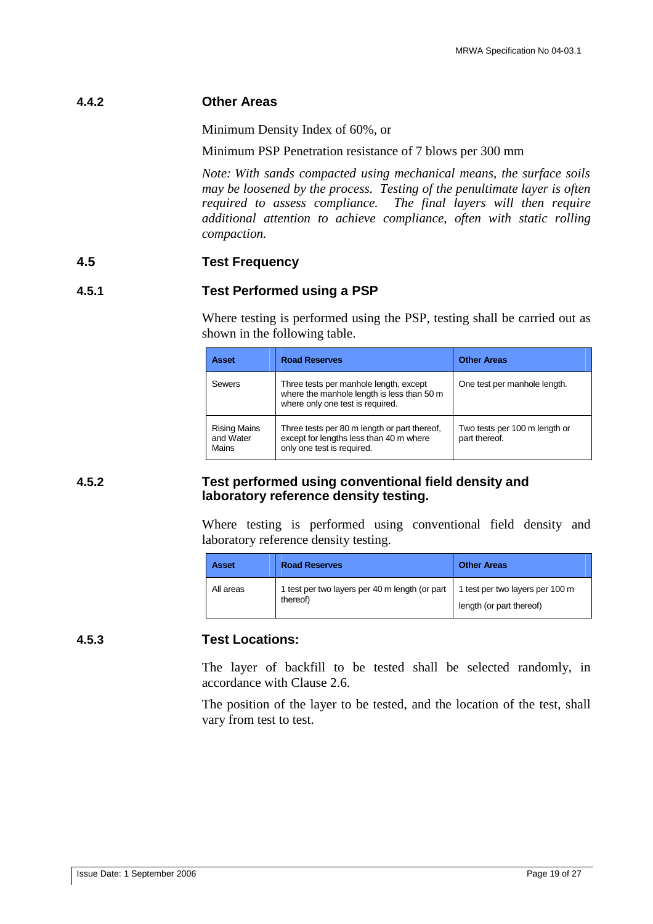#### **4.4.2 Other Areas**

Minimum Density Index of 60%, or

Minimum PSP Penetration resistance of 7 blows per 300 mm

*Note: With sands compacted using mechanical means, the surface soils may be loosened by the process. Testing of the penultimate layer is often required to assess compliance. The final layers will then require additional attention to achieve compliance, often with static rolling compaction.*

#### **4.5 Test Frequency**

## **4.5.1 Test Performed using a PSP**

Where testing is performed using the PSP, testing shall be carried out as shown in the following table.

| <b>Asset</b>                              | <b>Road Reserves</b>                                                                                                     | <b>Other Areas</b>                             |
|-------------------------------------------|--------------------------------------------------------------------------------------------------------------------------|------------------------------------------------|
| Sewers                                    | Three tests per manhole length, except<br>where the manhole length is less than 50 m<br>where only one test is required. | One test per manhole length.                   |
| <b>Rising Mains</b><br>and Water<br>Mains | Three tests per 80 m length or part thereof,<br>except for lengths less than 40 m where<br>only one test is required.    | Two tests per 100 m length or<br>part thereof. |

#### **4.5.2 Test performed using conventional field density and laboratory reference density testing.**

Where testing is performed using conventional field density and laboratory reference density testing.

| <b>Asset</b> | <b>Road Reserves</b>                                       | <b>Other Areas</b>                                          |
|--------------|------------------------------------------------------------|-------------------------------------------------------------|
| All areas    | 1 test per two layers per 40 m length (or part<br>thereof) | 1 test per two layers per 100 m<br>length (or part thereof) |

#### **4.5.3 Test Locations:**

The layer of backfill to be tested shall be selected randomly, in accordance with Clause 2.6.

The position of the layer to be tested, and the location of the test, shall vary from test to test.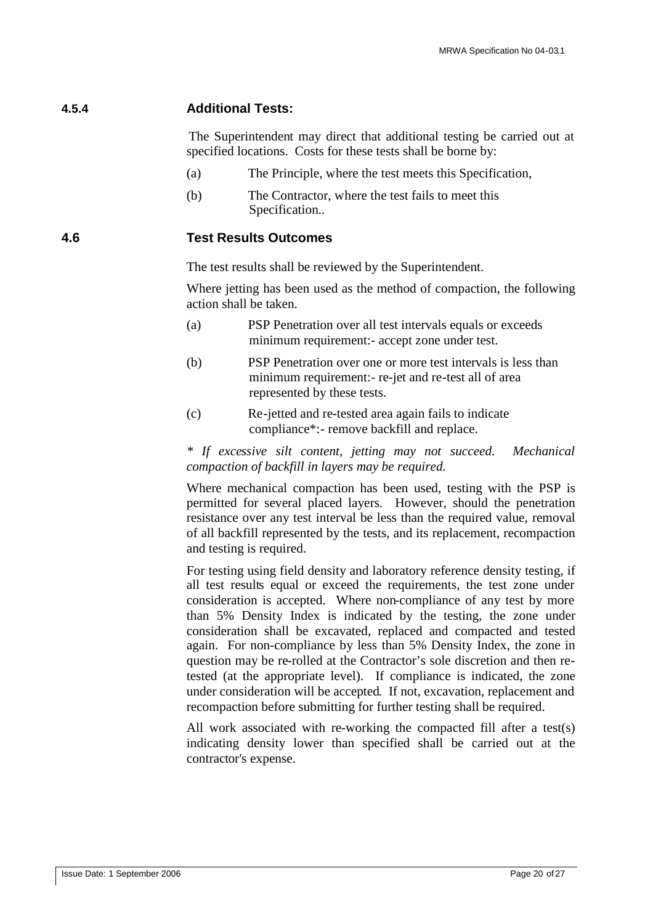## **4.5.4 Additional Tests:**

The Superintendent may direct that additional testing be carried out at specified locations. Costs for these tests shall be borne by:

- (a) The Principle, where the test meets this Specification,
- (b) The Contractor, where the test fails to meet this Specification..

## **4.6 Test Results Outcomes**

The test results shall be reviewed by the Superintendent.

Where jetting has been used as the method of compaction, the following action shall be taken.

- (a) PSP Penetration over all test intervals equals or exceeds minimum requirement:- accept zone under test.
- (b) PSP Penetration over one or more test intervals is less than minimum requirement:- re-jet and re-test all of area represented by these tests.
- (c) Re-jetted and re-tested area again fails to indicate compliance\*:- remove backfill and replace.

*\* If excessive silt content, jetting may not succeed. Mechanical compaction of backfill in layers may be required.*

Where mechanical compaction has been used, testing with the PSP is permitted for several placed layers. However, should the penetration resistance over any test interval be less than the required value, removal of all backfill represented by the tests, and its replacement, recompaction and testing is required.

For testing using field density and laboratory reference density testing, if all test results equal or exceed the requirements, the test zone under consideration is accepted. Where non-compliance of any test by more than 5% Density Index is indicated by the testing, the zone under consideration shall be excavated, replaced and compacted and tested again. For non-compliance by less than 5% Density Index, the zone in question may be re-rolled at the Contractor's sole discretion and then retested (at the appropriate level). If compliance is indicated, the zone under consideration will be accepted. If not, excavation, replacement and recompaction before submitting for further testing shall be required.

All work associated with re-working the compacted fill after a test(s) indicating density lower than specified shall be carried out at the contractor's expense.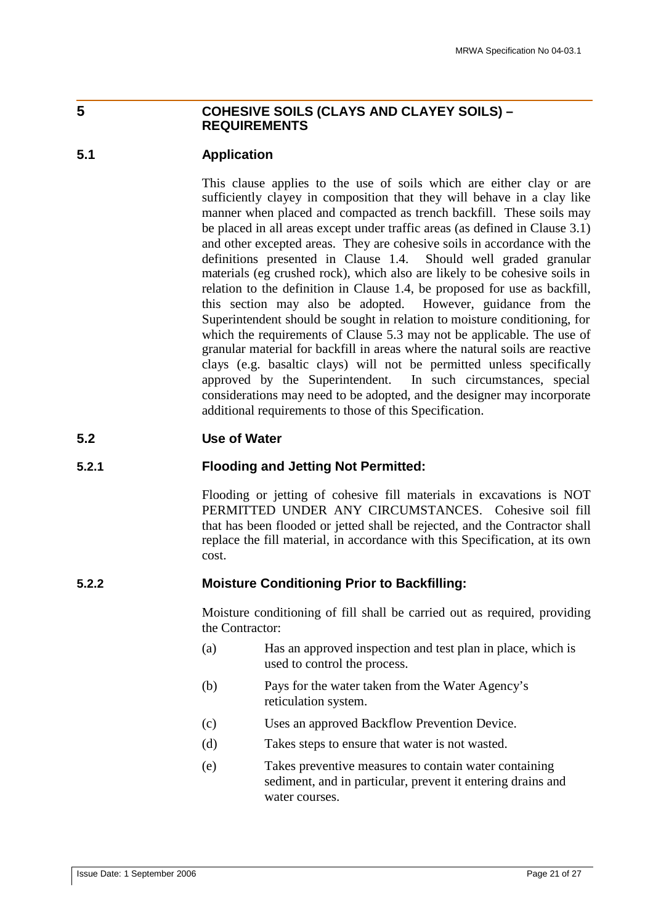## **5 COHESIVE SOILS (CLAYS AND CLAYEY SOILS) – REQUIREMENTS**

## **5.1 Application**

This clause applies to the use of soils which are either clay or are sufficiently clayey in composition that they will behave in a clay like manner when placed and compacted as trench backfill. These soils may be placed in all areas except under traffic areas (as defined in Clause 3.1) and other excepted areas. They are cohesive soils in accordance with the definitions presented in Clause 1.4. Should well graded granular materials (eg crushed rock), which also are likely to be cohesive soils in relation to the definition in Clause 1.4, be proposed for use as backfill, this section may also be adopted. However, guidance from the Superintendent should be sought in relation to moisture conditioning, for which the requirements of Clause 5.3 may not be applicable. The use of granular material for backfill in areas where the natural soils are reactive clays (e.g. basaltic clays) will not be permitted unless specifically approved by the Superintendent. In such circumstances, special considerations may need to be adopted, and the designer may incorporate additional requirements to those of this Specification.

## **5.2 Use of Water**

#### **5.2.1 Flooding and Jetting Not Permitted:**

Flooding or jetting of cohesive fill materials in excavations is NOT PERMITTED UNDER ANY CIRCUMSTANCES. Cohesive soil fill that has been flooded or jetted shall be rejected, and the Contractor shall replace the fill material, in accordance with this Specification, at its own cost.

#### **5.2.2 Moisture Conditioning Prior to Backfilling:**

Moisture conditioning of fill shall be carried out as required, providing the Contractor:

- (a) Has an approved inspection and test plan in place, which is used to control the process.
- (b) Pays for the water taken from the Water Agency's reticulation system.
- (c) Uses an approved Backflow Prevention Device.
- (d) Takes steps to ensure that water is not wasted.
- (e) Takes preventive measures to contain water containing sediment, and in particular, prevent it entering drains and water courses.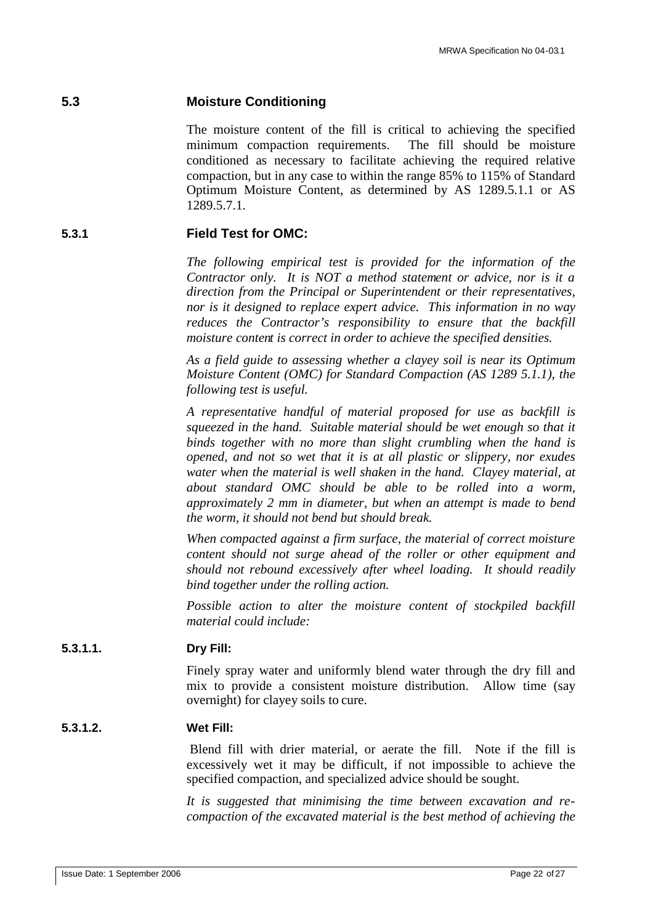#### **5.3 Moisture Conditioning**

The moisture content of the fill is critical to achieving the specified minimum compaction requirements. The fill should be moisture conditioned as necessary to facilitate achieving the required relative compaction, but in any case to within the range 85% to 115% of Standard Optimum Moisture Content, as determined by AS 1289.5.1.1 or AS 1289.5.7.1.

#### **5.3.1 Field Test for OMC:**

*The following empirical test is provided for the information of the Contractor only. It is NOT a method statement or advice, nor is it a direction from the Principal or Superintendent or their representatives, nor is it designed to replace expert advice. This information in no way reduces the Contractor's responsibility to ensure that the backfill moisture content is correct in order to achieve the specified densities.*

*As a field guide to assessing whether a clayey soil is near its Optimum Moisture Content (OMC) for Standard Compaction (AS 1289 5.1.1), the following test is useful.*

*A representative handful of material proposed for use as backfill is squeezed in the hand. Suitable material should be wet enough so that it binds together with no more than slight crumbling when the hand is opened, and not so wet that it is at all plastic or slippery, nor exudes water when the material is well shaken in the hand. Clayey material, at about standard OMC should be able to be rolled into a worm, approximately 2 mm in diameter, but when an attempt is made to bend the worm, it should not bend but should break.*

*When compacted against a firm surface, the material of correct moisture content should not surge ahead of the roller or other equipment and should not rebound excessively after wheel loading. It should readily bind together under the rolling action.*

*Possible action to alter the moisture content of stockpiled backfill material could include:*

#### **5.3.1.1. Dry Fill:**

Finely spray water and uniformly blend water through the dry fill and mix to provide a consistent moisture distribution. Allow time (say overnight) for clayey soils to cure.

#### **5.3.1.2. Wet Fill:**

Blend fill with drier material, or aerate the fill. Note if the fill is excessively wet it may be difficult, if not impossible to achieve the specified compaction, and specialized advice should be sought.

*It is suggested that minimising the time between excavation and recompaction of the excavated material is the best method of achieving the*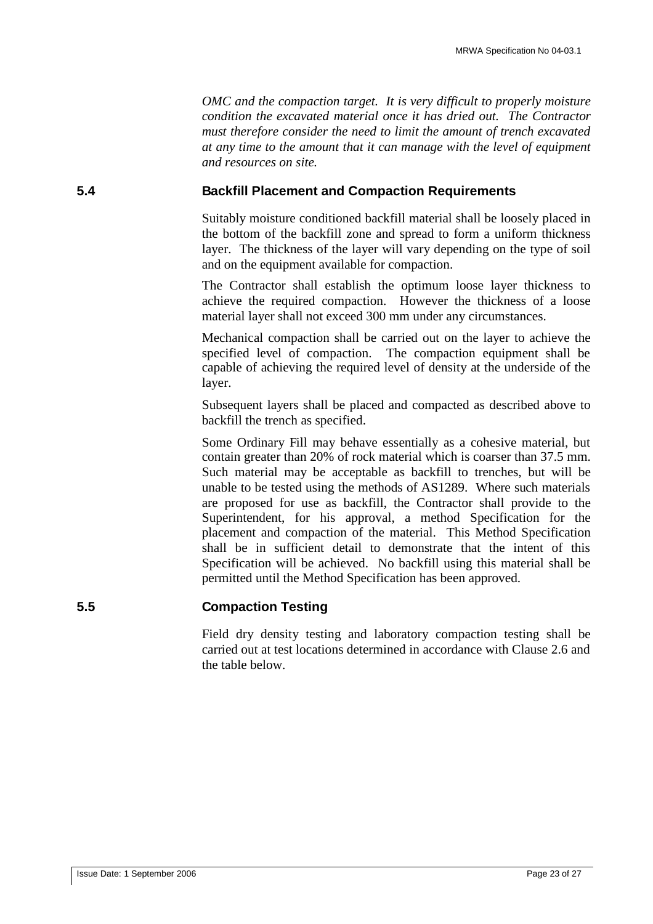*OMC and the compaction target. It is very difficult to properly moisture condition the excavated material once it has dried out. The Contractor must therefore consider the need to limit the amount of trench excavated at any time to the amount that it can manage with the level of equipment and resources on site.*

## **5.4 Backfill Placement and Compaction Requirements**

Suitably moisture conditioned backfill material shall be loosely placed in the bottom of the backfill zone and spread to form a uniform thickness layer. The thickness of the layer will vary depending on the type of soil and on the equipment available for compaction.

The Contractor shall establish the optimum loose layer thickness to achieve the required compaction. However the thickness of a loose material layer shall not exceed 300 mm under any circumstances.

Mechanical compaction shall be carried out on the layer to achieve the specified level of compaction. The compaction equipment shall be capable of achieving the required level of density at the underside of the layer.

Subsequent layers shall be placed and compacted as described above to backfill the trench as specified.

Some Ordinary Fill may behave essentially as a cohesive material, but contain greater than 20% of rock material which is coarser than 37.5 mm. Such material may be acceptable as backfill to trenches, but will be unable to be tested using the methods of AS1289. Where such materials are proposed for use as backfill, the Contractor shall provide to the Superintendent, for his approval, a method Specification for the placement and compaction of the material. This Method Specification shall be in sufficient detail to demonstrate that the intent of this Specification will be achieved. No backfill using this material shall be permitted until the Method Specification has been approved.

## **5.5 Compaction Testing**

Field dry density testing and laboratory compaction testing shall be carried out at test locations determined in accordance with Clause 2.6 and the table below.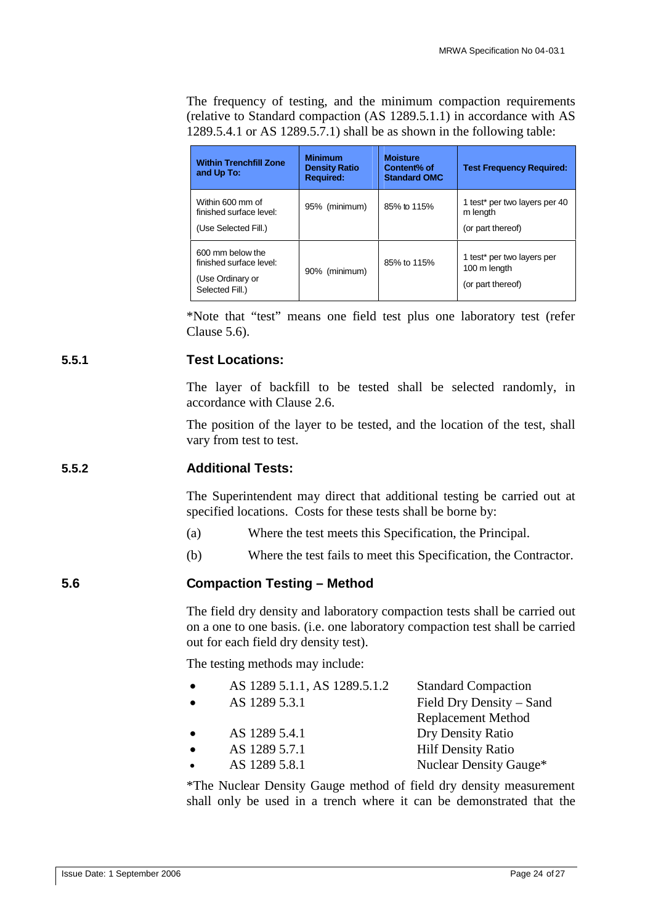The frequency of testing, and the minimum compaction requirements (relative to Standard compaction (AS 1289.5.1.1) in accordance with AS 1289.5.4.1 or AS 1289.5.7.1) shall be as shown in the following table:

| <b>Within Trenchfill Zone</b><br>and Up To:                                        | <b>Minimum</b><br><b>Density Ratio</b><br><b>Required:</b> | <b>Moisture</b><br>Content% of<br><b>Standard OMC</b> | <b>Test Frequency Required:</b>                                            |
|------------------------------------------------------------------------------------|------------------------------------------------------------|-------------------------------------------------------|----------------------------------------------------------------------------|
| Within 600 mm of<br>finished surface level:<br>(Use Selected Fill.)                | 95% (minimum)                                              | 85% to 115%                                           | 1 test <sup>*</sup> per two layers per 40<br>m length<br>(or part thereof) |
| 600 mm below the<br>finished surface level:<br>(Use Ordinary or<br>Selected Fill.) | 90% (minimum)                                              | 85% to 115%                                           | 1 test* per two layers per<br>100 m length<br>(or part thereof)            |

\*Note that "test" means one field test plus one laboratory test (refer Clause 5.6).

## **5.5.1 Test Locations:**

The layer of backfill to be tested shall be selected randomly, in accordance with Clause 2.6.

The position of the layer to be tested, and the location of the test, shall vary from test to test.

## **5.5.2 Additional Tests:**

The Superintendent may direct that additional testing be carried out at specified locations. Costs for these tests shall be borne by:

- (a) Where the test meets this Specification, the Principal.
- (b) Where the test fails to meet this Specification, the Contractor.

## **5.6 Compaction Testing – Method**

The field dry density and laboratory compaction tests shall be carried out on a one to one basis. (i.e. one laboratory compaction test shall be carried out for each field dry density test).

The testing methods may include:

| AS 1289 5.1.1, AS 1289.5.1.2 | <b>Standard Compaction</b> |
|------------------------------|----------------------------|
| AS 1289 5.3.1                | Field Dry Density – Sand   |
|                              | <b>Replacement Method</b>  |
| AS 1289 5.4.1                | Dry Density Ratio          |
| AS 1289 5.7.1                | <b>Hilf Density Ratio</b>  |
| AS 1289 5.8.1                | Nuclear Density Gauge*     |
|                              |                            |

\*The Nuclear Density Gauge method of field dry density measurement shall only be used in a trench where it can be demonstrated that the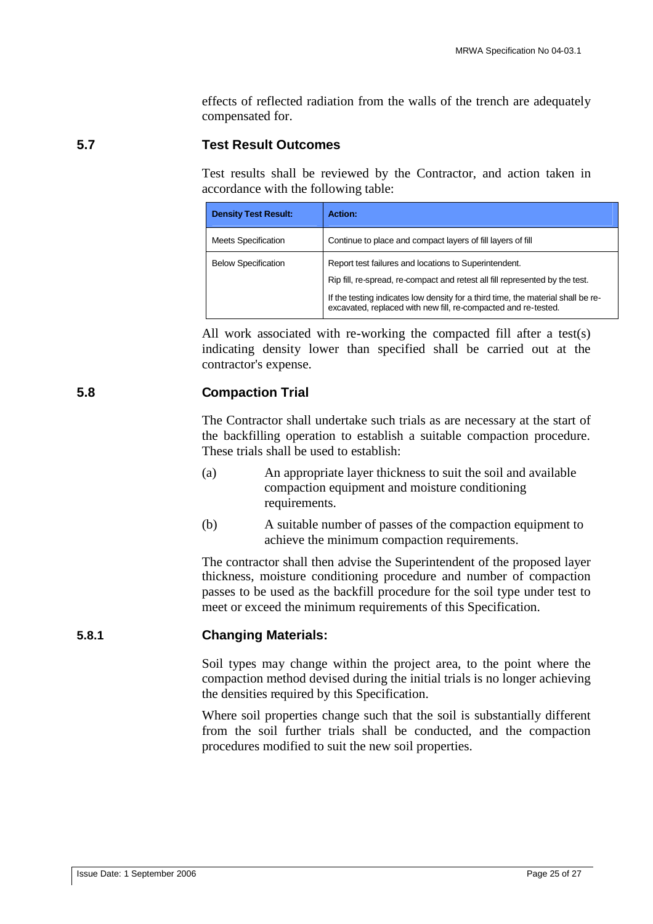effects of reflected radiation from the walls of the trench are adequately compensated for.

## **5.7 Test Result Outcomes**

Test results shall be reviewed by the Contractor, and action taken in accordance with the following table:

| <b>Density Test Result:</b> | Action:                                                                                                                                            |
|-----------------------------|----------------------------------------------------------------------------------------------------------------------------------------------------|
| <b>Meets Specification</b>  | Continue to place and compact layers of fill layers of fill                                                                                        |
| <b>Below Specification</b>  | Report test failures and locations to Superintendent.<br>Rip fill, re-spread, re-compact and retest all fill represented by the test.              |
|                             | If the testing indicates low density for a third time, the material shall be re-<br>excavated, replaced with new fill, re-compacted and re-tested. |

All work associated with re-working the compacted fill after a test(s) indicating density lower than specified shall be carried out at the contractor's expense.

## **5.8 Compaction Trial**

The Contractor shall undertake such trials as are necessary at the start of the backfilling operation to establish a suitable compaction procedure. These trials shall be used to establish:

- (a) An appropriate layer thickness to suit the soil and available compaction equipment and moisture conditioning requirements.
- (b) A suitable number of passes of the compaction equipment to achieve the minimum compaction requirements.

The contractor shall then advise the Superintendent of the proposed layer thickness, moisture conditioning procedure and number of compaction passes to be used as the backfill procedure for the soil type under test to meet or exceed the minimum requirements of this Specification.

## **5.8.1 Changing Materials:**

Soil types may change within the project area, to the point where the compaction method devised during the initial trials is no longer achieving the densities required by this Specification.

Where soil properties change such that the soil is substantially different from the soil further trials shall be conducted, and the compaction procedures modified to suit the new soil properties.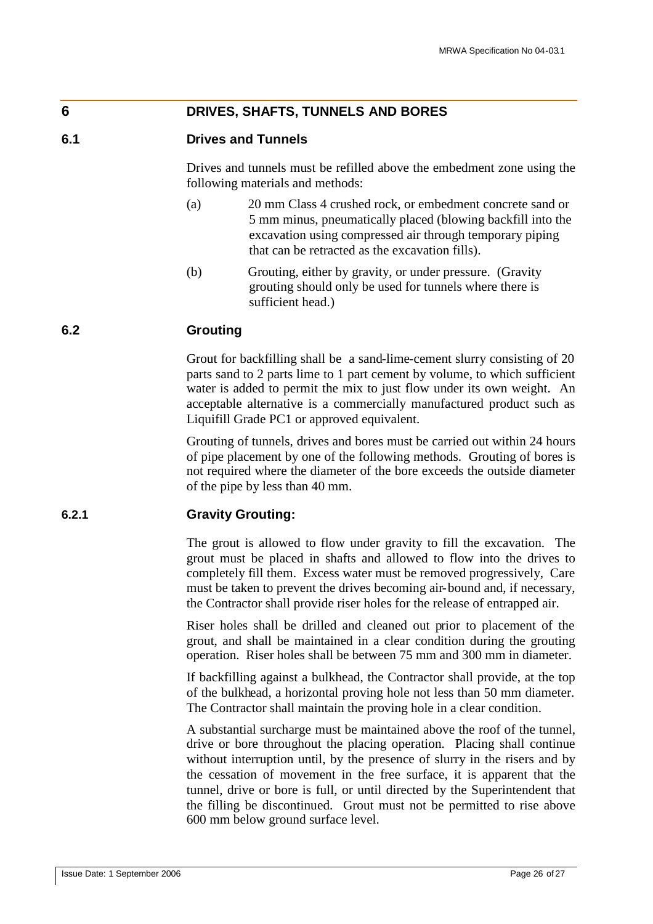## **6 DRIVES, SHAFTS, TUNNELS AND BORES**

#### **6.1 Drives and Tunnels**

Drives and tunnels must be refilled above the embedment zone using the following materials and methods:

- (a) 20 mm Class 4 crushed rock, or embedment concrete sand or 5 mm minus, pneumatically placed (blowing backfill into the excavation using compressed air through temporary piping that can be retracted as the excavation fills).
- (b) Grouting, either by gravity, or under pressure. (Gravity grouting should only be used for tunnels where there is sufficient head.)

## **6.2 Grouting**

Grout for backfilling shall be a sand-lime-cement slurry consisting of 20 parts sand to 2 parts lime to 1 part cement by volume, to which sufficient water is added to permit the mix to just flow under its own weight. An acceptable alternative is a commercially manufactured product such as Liquifill Grade PC1 or approved equivalent.

Grouting of tunnels, drives and bores must be carried out within 24 hours of pipe placement by one of the following methods. Grouting of bores is not required where the diameter of the bore exceeds the outside diameter of the pipe by less than 40 mm.

#### **6.2.1 Gravity Grouting:**

The grout is allowed to flow under gravity to fill the excavation. The grout must be placed in shafts and allowed to flow into the drives to completely fill them. Excess water must be removed progressively, Care must be taken to prevent the drives becoming air-bound and, if necessary, the Contractor shall provide riser holes for the release of entrapped air.

Riser holes shall be drilled and cleaned out prior to placement of the grout, and shall be maintained in a clear condition during the grouting operation. Riser holes shall be between 75 mm and 300 mm in diameter.

If backfilling against a bulkhead, the Contractor shall provide, at the top of the bulkhead, a horizontal proving hole not less than 50 mm diameter. The Contractor shall maintain the proving hole in a clear condition.

A substantial surcharge must be maintained above the roof of the tunnel, drive or bore throughout the placing operation. Placing shall continue without interruption until, by the presence of slurry in the risers and by the cessation of movement in the free surface, it is apparent that the tunnel, drive or bore is full, or until directed by the Superintendent that the filling be discontinued. Grout must not be permitted to rise above 600 mm below ground surface level.